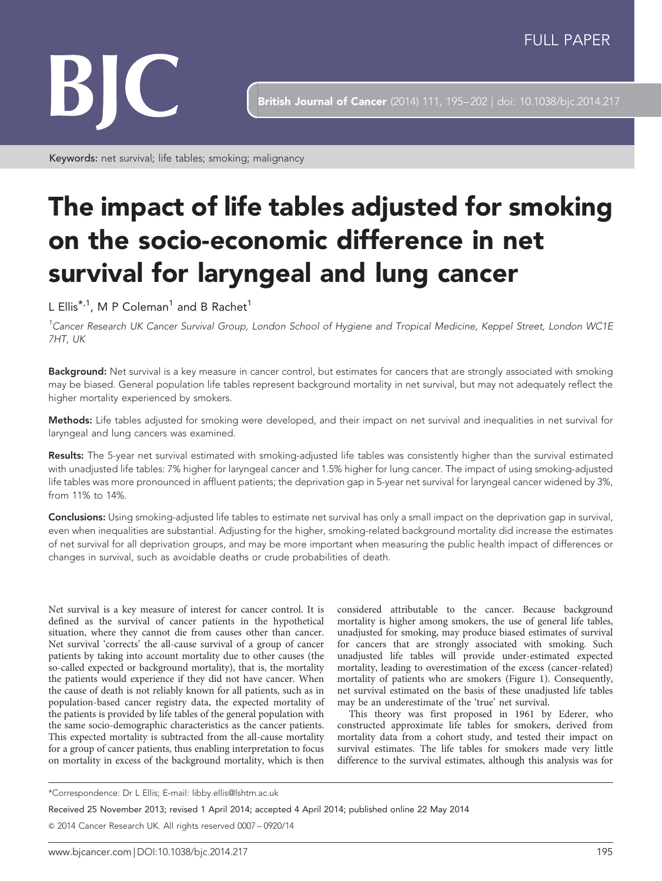

**British Journal of Cancer** (2014) 111, 195-202 | doi: 10.1038/bjc.2014.217

Keywords: net survival; life tables; smoking; malignancy

# The impact of life tables adjusted for smoking on the socio-economic difference in net survival for laryngeal and lung cancer

L Ellis<sup>\*,1</sup>, M P Coleman<sup>1</sup> and B Rachet<sup>1</sup>

<sup>1</sup>Cancer Research UK Cancer Survival Group, London School of Hygiene and Tropical Medicine, Keppel Street, London WC1E 7HT, UK

Background: Net survival is a key measure in cancer control, but estimates for cancers that are strongly associated with smoking may be biased. General population life tables represent background mortality in net survival, but may not adequately reflect the higher mortality experienced by smokers.

Methods: Life tables adjusted for smoking were developed, and their impact on net survival and inequalities in net survival for laryngeal and lung cancers was examined.

Results: The 5-year net survival estimated with smoking-adjusted life tables was consistently higher than the survival estimated with unadjusted life tables: 7% higher for laryngeal cancer and 1.5% higher for lung cancer. The impact of using smoking-adjusted life tables was more pronounced in affluent patients; the deprivation gap in 5-year net survival for laryngeal cancer widened by 3%, from 11% to 14%.

Conclusions: Using smoking-adjusted life tables to estimate net survival has only a small impact on the deprivation gap in survival, even when inequalities are substantial. Adjusting for the higher, smoking-related background mortality did increase the estimates of net survival for all deprivation groups, and may be more important when measuring the public health impact of differences or changes in survival, such as avoidable deaths or crude probabilities of death.

Net survival is a key measure of interest for cancer control. It is defined as the survival of cancer patients in the hypothetical situation, where they cannot die from causes other than cancer. Net survival 'corrects' the all-cause survival of a group of cancer patients by taking into account mortality due to other causes (the so-called expected or background mortality), that is, the mortality the patients would experience if they did not have cancer. When the cause of death is not reliably known for all patients, such as in population-based cancer registry data, the expected mortality of the patients is provided by life tables of the general population with the same socio-demographic characteristics as the cancer patients. This expected mortality is subtracted from the all-cause mortality for a group of cancer patients, thus enabling interpretation to focus on mortality in excess of the background mortality, which is then

considered attributable to the cancer. Because background mortality is higher among smokers, the use of general life tables, unadjusted for smoking, may produce biased estimates of survival for cancers that are strongly associated with smoking. Such unadjusted life tables will provide under-estimated expected mortality, leading to overestimation of the excess (cancer-related) mortality of patients who are smokers [\(Figure 1\)](#page-1-0). Consequently, net survival estimated on the basis of these unadjusted life tables may be an underestimate of the 'true' net survival.

This theory was first proposed in 1961 by Ederer, who constructed approximate life tables for smokers, derived from mortality data from a cohort study, and tested their impact on survival estimates. The life tables for smokers made very little difference to the survival estimates, although this analysis was for

Received 25 November 2013; revised 1 April 2014; accepted 4 April 2014; published online 22 May 2014

& 2014 Cancer Research UK. All rights reserved 0007 – 0920/14

<sup>\*</sup>Correspondence: Dr L Ellis; E-mail: [libby.ellis@lshtm.ac.uk](mailto:libby.ellis@lshtm.ac.uk)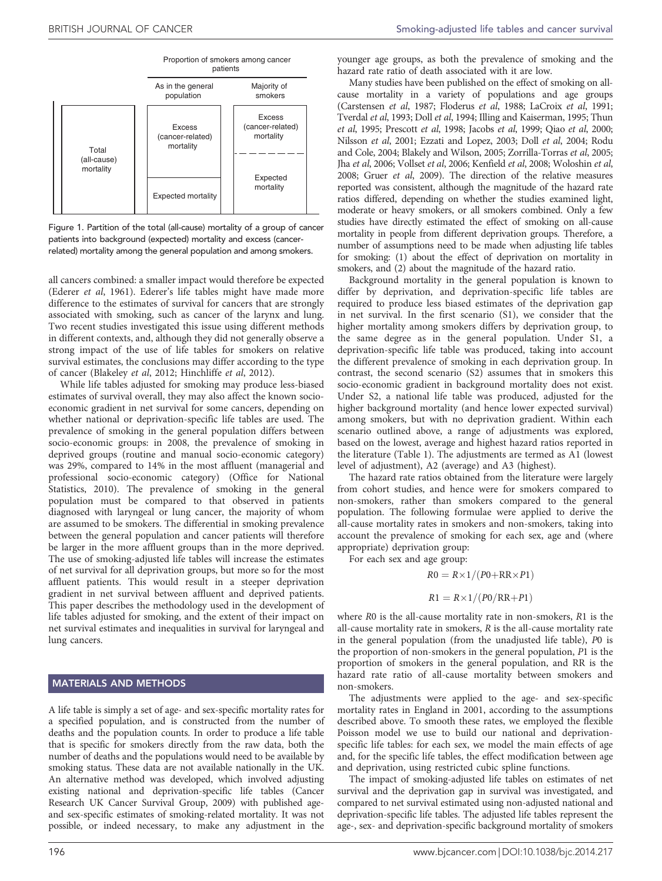<span id="page-1-0"></span>

Figure 1. Partition of the total (all-cause) mortality of a group of cancer patients into background (expected) mortality and excess (cancerrelated) mortality among the general population and among smokers.

all cancers combined: a smaller impact would therefore be expected ([Ederer](#page-6-0) et al, 1961). Ederer's life tables might have made more difference to the estimates of survival for cancers that are strongly associated with smoking, such as cancer of the larynx and lung. Two recent studies investigated this issue using different methods in different contexts, and, although they did not generally observe a strong impact of the use of life tables for smokers on relative survival estimates, the conclusions may differ according to the type of cancer [\(Blakeley](#page-6-0) et al, 2012; [Hinchliffe](#page-7-0) et al, 2012).

While life tables adjusted for smoking may produce less-biased estimates of survival overall, they may also affect the known socioeconomic gradient in net survival for some cancers, depending on whether national or deprivation-specific life tables are used. The prevalence of smoking in the general population differs between socio-economic groups: in 2008, the prevalence of smoking in deprived groups (routine and manual socio-economic category) was 29%, compared to 14% in the most affluent (managerial and professional socio-economic category) [\(Office for National](#page-7-0) [Statistics, 2010](#page-7-0)). The prevalence of smoking in the general population must be compared to that observed in patients diagnosed with laryngeal or lung cancer, the majority of whom are assumed to be smokers. The differential in smoking prevalence between the general population and cancer patients will therefore be larger in the more affluent groups than in the more deprived. The use of smoking-adjusted life tables will increase the estimates of net survival for all deprivation groups, but more so for the most affluent patients. This would result in a steeper deprivation gradient in net survival between affluent and deprived patients. This paper describes the methodology used in the development of life tables adjusted for smoking, and the extent of their impact on net survival estimates and inequalities in survival for laryngeal and lung cancers.

#### MATERIALS AND METHODS

A life table is simply a set of age- and sex-specific mortality rates for a specified population, and is constructed from the number of deaths and the population counts. In order to produce a life table that is specific for smokers directly from the raw data, both the number of deaths and the populations would need to be available by smoking status. These data are not available nationally in the UK. An alternative method was developed, which involved adjusting existing national and deprivation-specific life tables ([Cancer](#page-6-0) [Research UK Cancer Survival Group, 2009\)](#page-6-0) with published ageand sex-specific estimates of smoking-related mortality. It was not possible, or indeed necessary, to make any adjustment in the

younger age groups, as both the prevalence of smoking and the hazard rate ratio of death associated with it are low.

Many studies have been published on the effect of smoking on allcause mortality in a variety of populations and age groups ([Carstensen](#page-6-0) et al, 1987; [Floderus](#page-7-0) et al, 1988; [LaCroix](#page-7-0) et al, 1991; [Tverdal](#page-7-0) et al, 1993; Doll et al[, 1994](#page-6-0); [Illing and Kaiserman, 1995; Thun](#page-7-0) et al[, 1995; Prescott](#page-7-0) et al, 1998; [Jacobs](#page-7-0) et al, 1999; Qiao et al[, 2000;](#page-7-0) [Nilsson](#page-7-0) et al, 2001; [Ezzati and Lopez, 2003;](#page-7-0) Doll et al[, 2004;](#page-6-0) [Rodu](#page-7-0) [and Cole, 2004](#page-7-0); [Blakely and Wilson, 2005;](#page-6-0) [Zorrilla-Torras](#page-7-0) et al, 2005; Jha et al[, 2006; Vollset](#page-7-0) et al, 2006; [Kenfield](#page-7-0) et al, 2008; [Woloshin](#page-7-0) et al, [2008;](#page-7-0) Gruer et al[, 2009\)](#page-7-0). The direction of the relative measures reported was consistent, although the magnitude of the hazard rate ratios differed, depending on whether the studies examined light, moderate or heavy smokers, or all smokers combined. Only a few studies have directly estimated the effect of smoking on all-cause mortality in people from different deprivation groups. Therefore, a number of assumptions need to be made when adjusting life tables for smoking: (1) about the effect of deprivation on mortality in smokers, and (2) about the magnitude of the hazard ratio.

Background mortality in the general population is known to differ by deprivation, and deprivation-specific life tables are required to produce less biased estimates of the deprivation gap in net survival. In the first scenario (S1), we consider that the higher mortality among smokers differs by deprivation group, to the same degree as in the general population. Under S1, a deprivation-specific life table was produced, taking into account the different prevalence of smoking in each deprivation group. In contrast, the second scenario (S2) assumes that in smokers this socio-economic gradient in background mortality does not exist. Under S2, a national life table was produced, adjusted for the higher background mortality (and hence lower expected survival) among smokers, but with no deprivation gradient. Within each scenario outlined above, a range of adjustments was explored, based on the lowest, average and highest hazard ratios reported in the literature ([Table 1](#page-2-0)). The adjustments are termed as A1 (lowest level of adjustment), A2 (average) and A3 (highest).

The hazard rate ratios obtained from the literature were largely from cohort studies, and hence were for smokers compared to non-smokers, rather than smokers compared to the general population. The following formulae were applied to derive the all-cause mortality rates in smokers and non-smokers, taking into account the prevalence of smoking for each sex, age and (where appropriate) deprivation group:

For each sex and age group:

$$
R0 = R \times 1/(P0 + RR \times P1)
$$

$$
R1 = R \times 1/(P0/RR + P1)
$$

where R0 is the all-cause mortality rate in non-smokers, R1 is the all-cause mortality rate in smokers, R is the all-cause mortality rate in the general population (from the unadjusted life table), P0 is the proportion of non-smokers in the general population, P1 is the proportion of smokers in the general population, and RR is the hazard rate ratio of all-cause mortality between smokers and non-smokers.

The adjustments were applied to the age- and sex-specific mortality rates in England in 2001, according to the assumptions described above. To smooth these rates, we employed the flexible Poisson model we use to build our national and deprivationspecific life tables: for each sex, we model the main effects of age and, for the specific life tables, the effect modification between age and deprivation, using restricted cubic spline functions.

The impact of smoking-adjusted life tables on estimates of net survival and the deprivation gap in survival was investigated, and compared to net survival estimated using non-adjusted national and deprivation-specific life tables. The adjusted life tables represent the age-, sex- and deprivation-specific background mortality of smokers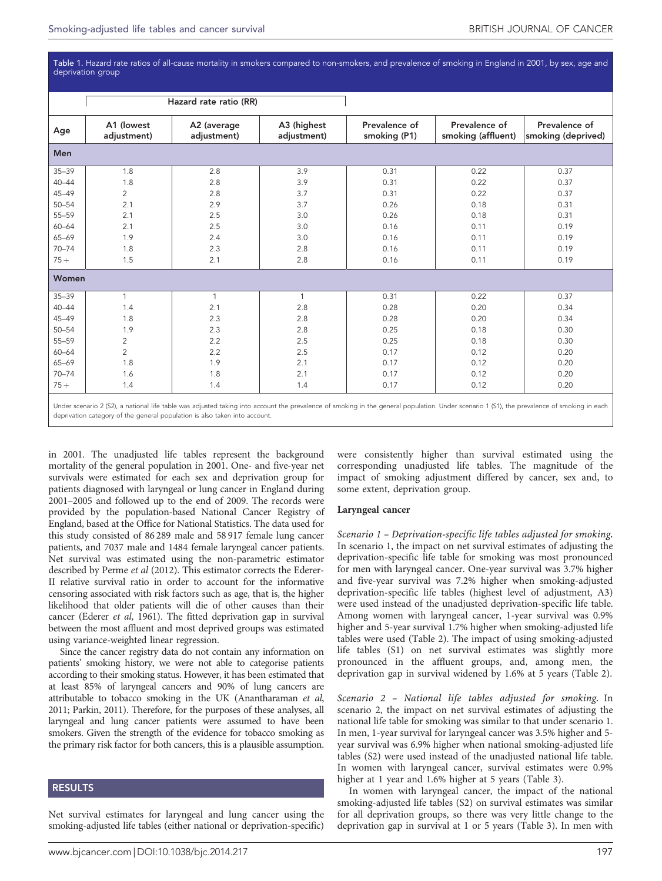<span id="page-2-0"></span>Table 1. Hazard rate ratios of all-cause mortality in smokers compared to non-smokers, and prevalence of smoking in England in 2001, by sex, age and deprivation group

|           |                           | Hazard rate ratio (RR)     |                            |                               |                                     |                                     |
|-----------|---------------------------|----------------------------|----------------------------|-------------------------------|-------------------------------------|-------------------------------------|
| Age       | A1 (lowest<br>adjustment) | A2 (average<br>adjustment) | A3 (highest<br>adjustment) | Prevalence of<br>smoking (P1) | Prevalence of<br>smoking (affluent) | Prevalence of<br>smoking (deprived) |
| Men       |                           |                            |                            |                               |                                     |                                     |
| $35 - 39$ | 1.8                       | 2.8                        | 3.9                        | 0.31                          | 0.22                                | 0.37                                |
| $40 - 44$ | 1.8                       | 2.8                        | 3.9                        | 0.31                          | 0.22                                | 0.37                                |
| $45 - 49$ | $\overline{2}$            | 2.8                        | 3.7                        | 0.31                          | 0.22                                | 0.37                                |
| $50 - 54$ | 2.1                       | 2.9                        | 3.7                        | 0.26                          | 0.18                                | 0.31                                |
| 55-59     | 2.1                       | 2.5                        | 3.0                        | 0.26                          | 0.18                                | 0.31                                |
| $60 - 64$ | 2.1                       | 2.5                        | 3.0                        | 0.16                          | 0.11                                | 0.19                                |
| 65-69     | 1.9                       | 2.4                        | 3.0                        | 0.16                          | 0.11                                | 0.19                                |
| $70 - 74$ | 1.8                       | 2.3                        | 2.8                        | 0.16                          | 0.11                                | 0.19                                |
| $75+$     | 1.5                       | 2.1                        | 2.8                        | 0.16                          | 0.11                                | 0.19                                |
| Women     |                           |                            |                            |                               |                                     |                                     |
| $35 - 39$ | $\mathbf{1}$              | 1                          | 1                          | 0.31                          | 0.22                                | 0.37                                |
| $40 - 44$ | 1.4                       | 2.1                        | 2.8                        | 0.28                          | 0.20                                | 0.34                                |
| $45 - 49$ | 1.8                       | 2.3                        | 2.8                        | 0.28                          | 0.20                                | 0.34                                |
| $50 - 54$ | 1.9                       | 2.3                        | 2.8                        | 0.25                          | 0.18                                | 0.30                                |
| 55-59     | $\overline{2}$            | 2.2                        | 2.5                        | 0.25                          | 0.18                                | 0.30                                |
| $60 - 64$ | $\overline{2}$            | 2.2                        | 2.5                        | 0.17                          | 0.12                                | 0.20                                |
| 65-69     | 1.8                       | 1.9                        | 2.1                        | 0.17                          | 0.12                                | 0.20                                |
| $70 - 74$ | 1.6                       | 1.8                        | 2.1                        | 0.17                          | 0.12                                | 0.20                                |
| $75+$     | 1.4                       | 1.4                        | 1.4                        | 0.17                          | 0.12                                | 0.20                                |
|           |                           |                            |                            |                               |                                     |                                     |

Under scenario 2 (S2), a national life table was adjusted taking into account the prevalence of smoking in the general population. Under scenario 1 (S1), the prevalence of smoking in each deprivation category of the general population is also taken into account.

in 2001. The unadjusted life tables represent the background mortality of the general population in 2001. One- and five-year net survivals were estimated for each sex and deprivation group for patients diagnosed with laryngeal or lung cancer in England during 2001–2005 and followed up to the end of 2009. The records were provided by the population-based National Cancer Registry of England, based at the Office for National Statistics. The data used for this study consisted of 86 289 male and 58 917 female lung cancer patients, and 7037 male and 1484 female laryngeal cancer patients. Net survival was estimated using the non-parametric estimator described by [Perme](#page-7-0) et al (2012). This estimator corrects the Ederer-II relative survival ratio in order to account for the informative censoring associated with risk factors such as age, that is, the higher likelihood that older patients will die of other causes than their cancer ([Ederer](#page-6-0) et al, 1961). The fitted deprivation gap in survival between the most affluent and most deprived groups was estimated using variance-weighted linear regression.

Since the cancer registry data do not contain any information on patients' smoking history, we were not able to categorise patients according to their smoking status. However, it has been estimated that at least 85% of laryngeal cancers and 90% of lung cancers are attributable to tobacco smoking in the UK [\(Anantharaman](#page-6-0) et al, [2011;](#page-6-0) [Parkin, 2011\)](#page-7-0). Therefore, for the purposes of these analyses, all laryngeal and lung cancer patients were assumed to have been smokers. Given the strength of the evidence for tobacco smoking as the primary risk factor for both cancers, this is a plausible assumption.

### RESULTS

Net survival estimates for laryngeal and lung cancer using the smoking-adjusted life tables (either national or deprivation-specific)

were consistently higher than survival estimated using the corresponding unadjusted life tables. The magnitude of the impact of smoking adjustment differed by cancer, sex and, to some extent, deprivation group.

#### Laryngeal cancer

Scenario 1 – Deprivation-specific life tables adjusted for smoking. In scenario 1, the impact on net survival estimates of adjusting the deprivation-specific life table for smoking was most pronounced for men with laryngeal cancer. One-year survival was 3.7% higher and five-year survival was 7.2% higher when smoking-adjusted deprivation-specific life tables (highest level of adjustment, A3) were used instead of the unadjusted deprivation-specific life table. Among women with laryngeal cancer, 1-year survival was 0.9% higher and 5-year survival 1.7% higher when smoking-adjusted life tables were used ([Table 2\)](#page-3-0). The impact of using smoking-adjusted life tables (S1) on net survival estimates was slightly more pronounced in the affluent groups, and, among men, the deprivation gap in survival widened by 1.6% at 5 years ([Table 2\)](#page-3-0).

Scenario 2 – National life tables adjusted for smoking. In scenario 2, the impact on net survival estimates of adjusting the national life table for smoking was similar to that under scenario 1. In men, 1-year survival for laryngeal cancer was 3.5% higher and 5 year survival was 6.9% higher when national smoking-adjusted life tables (S2) were used instead of the unadjusted national life table. In women with laryngeal cancer, survival estimates were 0.9% higher at 1 year and 1.6% higher at 5 years ([Table 3](#page-4-0)).

In women with laryngeal cancer, the impact of the national smoking-adjusted life tables (S2) on survival estimates was similar for all deprivation groups, so there was very little change to the deprivation gap in survival at 1 or 5 years ([Table 3\)](#page-4-0). In men with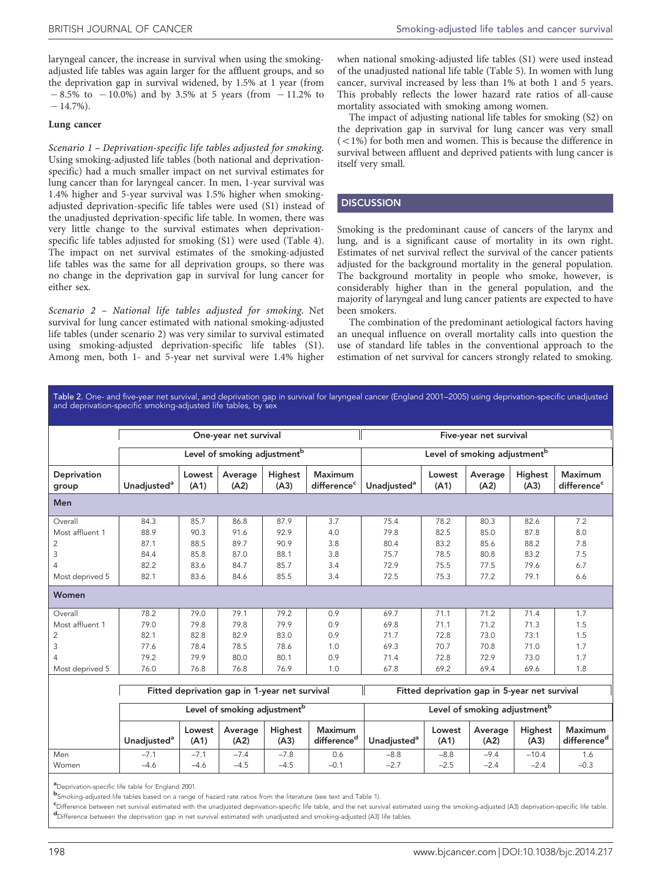<span id="page-3-0"></span>laryngeal cancer, the increase in survival when using the smokingadjusted life tables was again larger for the affluent groups, and so the deprivation gap in survival widened, by 1.5% at 1 year (from  $-8.5\%$  to  $-10.0\%$ ) and by 3.5% at 5 years (from  $-11.2\%$  to  $-14.7\%$ ).

#### Lung cancer

Scenario 1 – Deprivation-specific life tables adjusted for smoking. Using smoking-adjusted life tables (both national and deprivationspecific) had a much smaller impact on net survival estimates for lung cancer than for laryngeal cancer. In men, 1-year survival was 1.4% higher and 5-year survival was 1.5% higher when smokingadjusted deprivation-specific life tables were used (S1) instead of the unadjusted deprivation-specific life table. In women, there was very little change to the survival estimates when deprivationspecific life tables adjusted for smoking (S1) were used [\(Table 4](#page-5-0)). The impact on net survival estimates of the smoking-adjusted life tables was the same for all deprivation groups, so there was no change in the deprivation gap in survival for lung cancer for either sex.

Scenario 2 – National life tables adjusted for smoking. Net survival for lung cancer estimated with national smoking-adjusted life tables (under scenario 2) was very similar to survival estimated using smoking-adjusted deprivation-specific life tables (S1). Among men, both 1- and 5-year net survival were 1.4% higher when national smoking-adjusted life tables (S1) were used instead of the unadjusted national life table ([Table 5](#page-6-0)). In women with lung cancer, survival increased by less than 1% at both 1 and 5 years. This probably reflects the lower hazard rate ratios of all-cause mortality associated with smoking among women.

The impact of adjusting national life tables for smoking (S2) on the deprivation gap in survival for lung cancer was very small  $(<1%)$  for both men and women. This is because the difference in survival between affluent and deprived patients with lung cancer is itself very small.

## **DISCUSSION**

Smoking is the predominant cause of cancers of the larynx and lung, and is a significant cause of mortality in its own right. Estimates of net survival reflect the survival of the cancer patients adjusted for the background mortality in the general population. The background mortality in people who smoke, however, is considerably higher than in the general population, and the majority of laryngeal and lung cancer patients are expected to have been smokers.

The combination of the predominant aetiological factors having an unequal influence on overall mortality calls into question the use of standard life tables in the conventional approach to the estimation of net survival for cancers strongly related to smoking.

Table 2. One- and five-year net survival, and deprivation gap in survival for laryngeal cancer (England 2001–2005) using deprivation-specific unadjusted and deprivation-specific smoking-adjusted life tables, by sex

|                      |                         |                | One-year net survival                    |                 |                                    |                                          |                | Five-year net survival |                 |                                           |  |  |
|----------------------|-------------------------|----------------|------------------------------------------|-----------------|------------------------------------|------------------------------------------|----------------|------------------------|-----------------|-------------------------------------------|--|--|
|                      |                         |                | Level of smoking adjustment <sup>b</sup> |                 |                                    | Level of smoking adjustment <sup>b</sup> |                |                        |                 |                                           |  |  |
| Deprivation<br>group | Unadjusted <sup>a</sup> | Lowest<br>(A1) | Average<br>(A2)                          | Highest<br>(A3) | Maximum<br>difference <sup>c</sup> | Unadjusted <sup>a</sup>                  | Lowest<br>(A1) | Average<br>(A2)        | Highest<br>(A3) | <b>Maximum</b><br>difference <sup>c</sup> |  |  |
| <b>Men</b>           |                         |                |                                          |                 |                                    |                                          |                |                        |                 |                                           |  |  |
| Overall              | 84.3                    | 85.7           | 86.8                                     | 87.9            | 3.7                                | 75.4                                     | 78.2           | 80.3                   | 82.6            | 7.2                                       |  |  |
| Most affluent 1      | 88.9                    | 90.3           | 91.6                                     | 92.9            | 4.0                                | 79.8                                     | 82.5           | 85.0                   | 87.8            | 8.0                                       |  |  |
| 2                    | 87.1                    | 88.5           | 89.7                                     | 90.9            | 3.8                                | 80.4                                     | 83.2           | 85.6                   | 88.2            | 7.8                                       |  |  |
| 3                    | 84.4                    | 85.8           | 87.0                                     | 88.1            | 3.8                                | 75.7                                     | 78.5           | 80.8                   | 83.2            | 7.5                                       |  |  |
| 4                    | 82.2                    | 83.6           | 84.7                                     | 85.7            | 3.4                                | 72.9                                     | 75.5           | 77.5                   | 79.6            | 6.7                                       |  |  |
| Most deprived 5      | 82.1                    | 83.6           | 84.6                                     | 85.5            | 3.4                                | 72.5                                     | 75.3           | 77.2                   | 79.1            | 6.6                                       |  |  |
| Women                |                         |                |                                          |                 |                                    |                                          |                |                        |                 |                                           |  |  |
| Overall              | 78.2                    | 79.0           | 79.1                                     | 79.2            | 0.9                                | 69.7                                     | 71.1           | 71.2                   | 71.4            | 1.7                                       |  |  |
| Most affluent 1      | 79.0                    | 79.8           | 79.8                                     | 79.9            | 0.9                                | 69.8                                     | 71.1           | 71.2                   | 71.3            | 1.5                                       |  |  |
| $\overline{2}$       | 82.1                    | 82.8           | 82.9                                     | 83.0            | 0.9                                | 71.7                                     | 72.8           | 73.0                   | 73.1            | 1.5                                       |  |  |
| 3                    | 77.6                    | 78.4           | 78.5                                     | 78.6            | 1.0                                | 69.3                                     | 70.7           | 70.8                   | 71.0            | 1.7                                       |  |  |
| 4                    | 79.2                    | 79.9           | 80.0                                     | 80.1            | 0.9                                | 71.4                                     | 72.8           | 72.9                   | 73.0            | 1.7                                       |  |  |
| Most deprived 5      | 76.0                    | 76.8           | 76.8                                     | 76.9            | 1.0                                | 67.8                                     | 69.2           | 69.4                   | 69.6            | 1.8                                       |  |  |

|       |                         |                | Fitted deprivation gap in 1-year net survival |                        |                                           | Fitted deprivation gap in 5-year net survival |                |                 |                        |                                    |  |
|-------|-------------------------|----------------|-----------------------------------------------|------------------------|-------------------------------------------|-----------------------------------------------|----------------|-----------------|------------------------|------------------------------------|--|
|       |                         |                | Level of smoking adjustment <sup>b</sup>      |                        |                                           | Level of smoking adjustment <sup>b</sup>      |                |                 |                        |                                    |  |
|       | Unadiusted <sup>a</sup> | Lowest<br>(A1) | Average<br>(A2)                               | <b>Highest</b><br>(A3) | <b>Maximum</b><br>difference <sup>d</sup> | Unadiusted <sup>a</sup>                       | Lowest<br>(A1) | Average<br>(A2) | <b>Highest</b><br>(A3) | Maximum<br>difference <sup>d</sup> |  |
| Men   | $-7.1$                  | $-7.1$         | $-7.4$                                        | $-7.8$                 | 0.6                                       | $-8.8$                                        | $-8.8$         | $-9.4$          | $-10.4$                | 1.6                                |  |
| Women | -4.6                    | $-4.6$         | $-4.5$                                        | $-4.5$                 | $-0.1$                                    | $-2.7$                                        | $-2.5$         | $-2.4$          | $-2.4$                 | $-0.3$                             |  |

a Deprivation-specific life table for England 2001.

b Smoking-adjusted life tables based on a range of hazard rate ratios from the literature (see text and [Table 1\)](#page-2-0).

CDifference between net survival estimated with the unadjusted deprivation-specific life table, and the net survival estimated using the smoking-adjusted (A3) deprivation-specific life table.<br>Politicance between the depriv Difference between the deprivation gap in net survival estimated with unadjusted and smoking-adjusted (A3) life tables.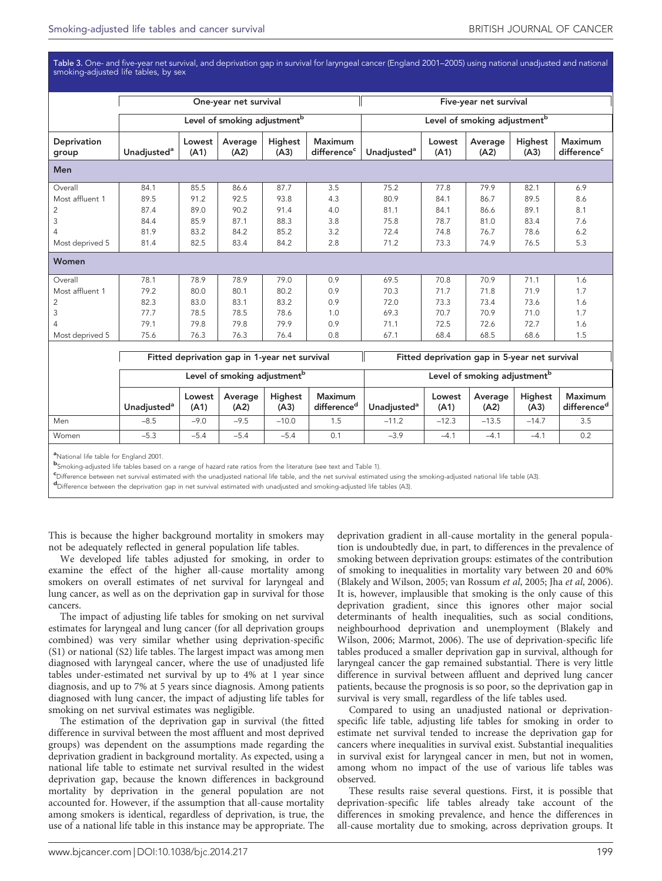<span id="page-4-0"></span>Table 3. One- and five-year net survival, and deprivation gap in survival for laryngeal cancer (England 2001–2005) using national unadjusted and national smoking-adjusted life tables, by sex

|                      |                                |                | One-year net survival                         |                 |                                    |                                          |                | Five-year net survival                        |                 |                                           |  |  |  |
|----------------------|--------------------------------|----------------|-----------------------------------------------|-----------------|------------------------------------|------------------------------------------|----------------|-----------------------------------------------|-----------------|-------------------------------------------|--|--|--|
|                      |                                |                | Level of smoking adjustment <sup>b</sup>      |                 |                                    | Level of smoking adjustment <sup>b</sup> |                |                                               |                 |                                           |  |  |  |
| Deprivation<br>group | <b>Unadjusted</b> <sup>a</sup> | Lowest<br>(A1) | Average<br>(A2)                               | Highest<br>(A3) | Maximum<br>difference <sup>c</sup> | Unadjusted <sup>a</sup>                  | Lowest<br>(A1) | Average<br>(A2)                               | Highest<br>(A3) | <b>Maximum</b><br>difference <sup>c</sup> |  |  |  |
| Men                  |                                |                |                                               |                 |                                    |                                          |                |                                               |                 |                                           |  |  |  |
| Overall              | 84.1                           | 85.5           | 86.6                                          | 87.7            | 3.5                                | 75.2                                     | 77.8           | 79.9                                          | 82.1            | 6.9                                       |  |  |  |
| Most affluent 1      | 89.5                           | 91.2           | 92.5                                          | 93.8            | 4.3                                | 80.9                                     | 84.1           | 86.7                                          | 89.5            | 8.6                                       |  |  |  |
| 2                    | 87.4                           | 89.0           | 90.2                                          | 91.4            | 4.0                                | 81.1                                     | 84.1           | 86.6                                          | 89.1            | 8.1                                       |  |  |  |
| $\mathsf 3$          | 84.4                           | 85.9           | 87.1                                          | 88.3            | 3.8                                | 75.8                                     | 78.7           | 81.0                                          | 83.4            | 7.6                                       |  |  |  |
| 4                    | 81.9                           | 83.2           | 84.2                                          | 85.2            | 3.2                                | 72.4                                     | 74.8           | 76.7                                          | 78.6            | 6.2                                       |  |  |  |
| Most deprived 5      | 81.4                           | 82.5           | 83.4                                          | 84.2            | 2.8                                | 71.2                                     | 73.3           | 74.9                                          | 76.5            | 5.3                                       |  |  |  |
| Women                |                                |                |                                               |                 |                                    |                                          |                |                                               |                 |                                           |  |  |  |
| Overall              | 78.1                           | 78.9           | 78.9                                          | 79.0            | 0.9                                | 69.5                                     | 70.8           | 70.9                                          | 71.1            | 1.6                                       |  |  |  |
| Most affluent 1      | 79.2                           | 80.0           | 80.1                                          | 80.2            | 0.9                                | 70.3                                     | 71.7           | 71.8                                          | 71.9            | 1.7                                       |  |  |  |
| $\overline{c}$       | 82.3                           | 83.0           | 83.1                                          | 83.2            | 0.9                                | 72.0                                     | 73.3           | 73.4                                          | 73.6            | 1.6                                       |  |  |  |
| 3                    | 77.7                           | 78.5           | 78.5                                          | 78.6            | 1.0                                | 69.3                                     | 70.7           | 70.9                                          | 71.0            | 1.7                                       |  |  |  |
| 4                    | 79.1                           | 79.8           | 79.8                                          | 79.9            | 0.9                                | 71.1                                     | 72.5           | 72.6                                          | 72.7            | 1.6                                       |  |  |  |
| Most deprived 5      | 75.6                           | 76.3           | 76.3                                          | 76.4            | 0.8                                | 67.1                                     | 68.4           | 68.5                                          | 68.6            | 1.5                                       |  |  |  |
|                      |                                |                | Fitted deprivation gap in 1-year net survival |                 |                                    |                                          |                | Fitted deprivation gap in 5-year net survival |                 |                                           |  |  |  |

|     |                         |                |                                          | $1.18444$ and $1.19411$ and $1.1941$ and $1.1941$ and $1.1941$ and $1.1941$ |                                          |                         | $1.184940$ well-transferred in group 111 $\sigma$ $\gamma$ can 1164 can triangle |                 |                 |                  |  |
|-----|-------------------------|----------------|------------------------------------------|-----------------------------------------------------------------------------|------------------------------------------|-------------------------|----------------------------------------------------------------------------------|-----------------|-----------------|------------------|--|
|     |                         |                | Level of smoking adjustment <sup>b</sup> |                                                                             | Level of smoking adjustment <sup>b</sup> |                         |                                                                                  |                 |                 |                  |  |
|     | Unadiusted <sup>a</sup> | Lowest<br>(A1) | Average<br>(A2)                          | <b>Highest</b><br>(A3)                                                      | Maximum<br>difference <sup>d</sup>       | Unadiusted <sup>a</sup> | Lowest<br>(A1)                                                                   | Average<br>(A2) | Highest<br>(A3) | Maxin<br>differe |  |
| Men | $-8.5$                  | $-9.0$         | $-9.5$                                   | $-10.0$                                                                     |                                          | $-11.2$                 | $-12.3$                                                                          | $-13.5$         | $-14.7$         | 3.5              |  |

Women –5.3 –5.4 –5.4 –5.4 0.1 –3.9 –4.1 –4.1 –4.1 0.2

a<br>National life table for England 2001.

b Smoking-adjusted life tables based on a range of hazard rate ratios from the literature (see text and [Table 1\)](#page-2-0).

CDifference between net survival estimated with the unadjusted national life table, and the net survival estimated using the smoking-adjusted national life table (A3).<br>Inifference between the deprivation and in pot surviva

Difference between the deprivation gap in net survival estimated with unadjusted and smoking-adjusted life tables (A3).

This is because the higher background mortality in smokers may not be adequately reflected in general population life tables.

We developed life tables adjusted for smoking, in order to examine the effect of the higher all-cause mortality among smokers on overall estimates of net survival for laryngeal and lung cancer, as well as on the deprivation gap in survival for those cancers.

The impact of adjusting life tables for smoking on net survival estimates for laryngeal and lung cancer (for all deprivation groups combined) was very similar whether using deprivation-specific (S1) or national (S2) life tables. The largest impact was among men diagnosed with laryngeal cancer, where the use of unadjusted life tables under-estimated net survival by up to 4% at 1 year since diagnosis, and up to 7% at 5 years since diagnosis. Among patients diagnosed with lung cancer, the impact of adjusting life tables for smoking on net survival estimates was negligible.

The estimation of the deprivation gap in survival (the fitted difference in survival between the most affluent and most deprived groups) was dependent on the assumptions made regarding the deprivation gradient in background mortality. As expected, using a national life table to estimate net survival resulted in the widest deprivation gap, because the known differences in background mortality by deprivation in the general population are not accounted for. However, if the assumption that all-cause mortality among smokers is identical, regardless of deprivation, is true, the use of a national life table in this instance may be appropriate. The

deprivation gradient in all-cause mortality in the general population is undoubtedly due, in part, to differences in the prevalence of smoking between deprivation groups: estimates of the contribution of smoking to inequalities in mortality vary between 20 and 60% ([Blakely and Wilson, 2005;](#page-6-0) [van Rossum](#page-7-0) et al, 2005; Jha et al[, 2006](#page-7-0)). It is, however, implausible that smoking is the only cause of this deprivation gradient, since this ignores other major social determinants of health inequalities, such as social conditions, neighbourhood deprivation and unemployment [\(Blakely and](#page-6-0) [Wilson, 2006](#page-6-0); [Marmot, 2006](#page-7-0)). The use of deprivation-specific life tables produced a smaller deprivation gap in survival, although for laryngeal cancer the gap remained substantial. There is very little difference in survival between affluent and deprived lung cancer patients, because the prognosis is so poor, so the deprivation gap in survival is very small, regardless of the life tables used.

Compared to using an unadjusted national or deprivationspecific life table, adjusting life tables for smoking in order to estimate net survival tended to increase the deprivation gap for cancers where inequalities in survival exist. Substantial inequalities in survival exist for laryngeal cancer in men, but not in women, among whom no impact of the use of various life tables was observed.

These results raise several questions. First, it is possible that deprivation-specific life tables already take account of the differences in smoking prevalence, and hence the differences in all-cause mortality due to smoking, across deprivation groups. It

Maximum difference<sup>c</sup>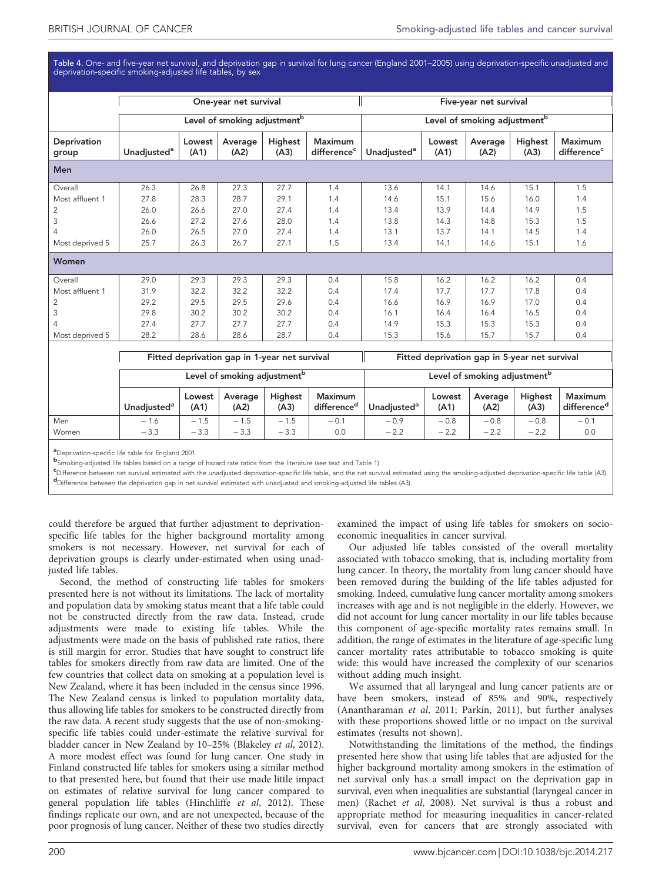<span id="page-5-0"></span>Table 4. One- and five-year net survival, and deprivation gap in survival for lung cancer (England 2001–2005) using deprivation-specific unadjusted and deprivation-specific smoking-adjusted life tables, by sex

|                      |                                |                | One-year net survival                    |                 |                                           |                         |                | Five-year net survival                   |                 |                                           |
|----------------------|--------------------------------|----------------|------------------------------------------|-----------------|-------------------------------------------|-------------------------|----------------|------------------------------------------|-----------------|-------------------------------------------|
|                      |                                |                | Level of smoking adjustment <sup>b</sup> |                 |                                           |                         |                | Level of smoking adjustment <sup>b</sup> |                 |                                           |
| Deprivation<br>group | <b>Unadjusted</b> <sup>a</sup> | Lowest<br>(A1) | Average<br>(A2)                          | Highest<br>(A3) | <b>Maximum</b><br>difference <sup>c</sup> | Unadjusted <sup>a</sup> | Lowest<br>(A1) | Average<br>(A2)                          | Highest<br>(A3) | <b>Maximum</b><br>difference <sup>c</sup> |
| <b>Men</b>           |                                |                |                                          |                 |                                           |                         |                |                                          |                 |                                           |
| Overall              | 26.3                           | 26.8           | 27.3                                     | 27.7            | 1.4                                       | 13.6                    | 14.1           | 14.6                                     | 15.1            | 1.5                                       |
| Most affluent 1      | 27.8                           | 28.3           | 28.7                                     | 29.1            | 1.4                                       | 14.6                    | 15.1           | 15.6                                     | 16.0            | 1.4                                       |
| $\overline{c}$       | 26.0                           | 26.6           | 27.0                                     | 27.4            | 1.4                                       | 13.4                    | 13.9           | 14.4                                     | 14.9            | 1.5                                       |
| 3                    | 26.6                           | 27.2           | 27.6                                     | 28.0            | 1.4                                       | 13.8                    | 14.3           | 14.8                                     | 15.3            | 1.5                                       |
| $\overline{4}$       | 26.0                           | 26.5           | 27.0                                     | 27.4            | 1.4                                       | 13.1                    | 13.7           | 14.1                                     | 14.5            | 1.4                                       |
| Most deprived 5      | 25.7                           | 26.3           | 26.7                                     | 27.1            | 1.5                                       | 13.4                    | 14.1           | 14.6                                     | 15.1            | 1.6                                       |
| Women                |                                |                |                                          |                 |                                           |                         |                |                                          |                 |                                           |
| Overall              | 29.0                           | 29.3           | 29.3                                     | 29.3            | 0.4                                       | 15.8                    | 16.2           | 16.2                                     | 16.2            | 0.4                                       |
| Most affluent 1      | 31.9                           | 32.2           | 32.2                                     | 32.2            | 0.4                                       | 17.4                    | 17.7           | 17.7                                     | 17.8            | 0.4                                       |
| 2                    | 29.2                           | 29.5           | 29.5                                     | 29.6            | 0.4                                       | 16.6                    | 16.9           | 16.9                                     | 17.0            | 0.4                                       |
| 3                    | 29.8                           | 30.2           | 30.2                                     | 30.2            | 0.4                                       | 16.1                    | 16.4           | 16.4                                     | 16.5            | 0.4                                       |
| $\overline{4}$       | 27.4                           | 27.7           | 27.7                                     | 27.7            | 0.4                                       | 14.9                    | 15.3           | 15.3                                     | 15.3            | 0.4                                       |
| Most deprived 5      | 28.2                           | 28.6           | 28.6                                     | 28.7            | 0.4                                       | 15.3                    | 15.6           | 15.7                                     | 15.7            | 0.4                                       |
|                      |                                |                |                                          |                 |                                           |                         |                |                                          |                 |                                           |

Fitted deprivation gap in 1-year net survival Fitted deprivation gap in 5-year net survival

|              |                         |                  | Level of smoking adjustment <sup>b</sup> |                  |                                    | Level of smoking adjustment <sup>b</sup> |                  |                  |                        |                                           |  |
|--------------|-------------------------|------------------|------------------------------------------|------------------|------------------------------------|------------------------------------------|------------------|------------------|------------------------|-------------------------------------------|--|
|              | Unadiusted <sup>a</sup> | Lowest<br>(A1)   | Average<br>(A2)                          | Highest<br>(A3)  | Maximum<br>difference <sup>a</sup> | Unadiusted <sup>a</sup>                  | Lowest<br>(A1)   | Average<br>(A2)  | <b>Highest</b><br>(A3) | <b>Maximum</b><br>difference <sup>d</sup> |  |
| Men<br>Women | $-1.6$<br>$-3.3$        | $-1.5$<br>$-3.3$ | 1.5<br>$-$<br>$-3.3$                     | $-1.5$<br>$-3.3$ | $-0.1$<br>0.0                      | $-0.9$<br>$-2.2$                         | $-0.8$<br>$-2.2$ | $-0.8$<br>$-2.2$ | $-0.8$<br>$-2.2$       | $-0.1$<br>0.0                             |  |

**a**<br>Deprivation-specific life table for England 2001.

b Smoking-adjusted life tables based on a range of hazard rate ratios from the literature (see text and [Table 1\)](#page-2-0).

e<br>Puifference between net survival estimated with the unadjusted deprivation-specific life table, and the net survival estimated using the smoking-adjusted deprivation-specific life table (A3).<br>Puifference between the depr Difference between the deprivation gap in net survival estimated with unadjusted and smoking-adjusted life tables (A3).

could therefore be argued that further adjustment to deprivationspecific life tables for the higher background mortality among smokers is not necessary. However, net survival for each of deprivation groups is clearly under-estimated when using unadjusted life tables.

Second, the method of constructing life tables for smokers presented here is not without its limitations. The lack of mortality and population data by smoking status meant that a life table could not be constructed directly from the raw data. Instead, crude adjustments were made to existing life tables. While the adjustments were made on the basis of published rate ratios, there is still margin for error. Studies that have sought to construct life tables for smokers directly from raw data are limited. One of the few countries that collect data on smoking at a population level is New Zealand, where it has been included in the census since 1996. The New Zealand census is linked to population mortality data, thus allowing life tables for smokers to be constructed directly from the raw data. A recent study suggests that the use of non-smokingspecific life tables could under-estimate the relative survival for bladder cancer in New Zealand by 10–25% [\(Blakeley](#page-6-0) et al, 2012). A more modest effect was found for lung cancer. One study in Finland constructed life tables for smokers using a similar method to that presented here, but found that their use made little impact on estimates of relative survival for lung cancer compared to general population life tables [\(Hinchliffe](#page-7-0) et al, 2012). These findings replicate our own, and are not unexpected, because of the poor prognosis of lung cancer. Neither of these two studies directly

examined the impact of using life tables for smokers on socioeconomic inequalities in cancer survival.

Our adjusted life tables consisted of the overall mortality associated with tobacco smoking, that is, including mortality from lung cancer. In theory, the mortality from lung cancer should have been removed during the building of the life tables adjusted for smoking. Indeed, cumulative lung cancer mortality among smokers increases with age and is not negligible in the elderly. However, we did not account for lung cancer mortality in our life tables because this component of age-specific mortality rates remains small. In addition, the range of estimates in the literature of age-specific lung cancer mortality rates attributable to tobacco smoking is quite wide: this would have increased the complexity of our scenarios without adding much insight.

We assumed that all laryngeal and lung cancer patients are or have been smokers, instead of 85% and 90%, respectively ([Anantharaman](#page-6-0) et al, 2011; [Parkin, 2011\)](#page-7-0), but further analyses with these proportions showed little or no impact on the survival estimates (results not shown).

Notwithstanding the limitations of the method, the findings presented here show that using life tables that are adjusted for the higher background mortality among smokers in the estimation of net survival only has a small impact on the deprivation gap in survival, even when inequalities are substantial (laryngeal cancer in men) [\(Rachet](#page-7-0) et al, 2008). Net survival is thus a robust and appropriate method for measuring inequalities in cancer-related survival, even for cancers that are strongly associated with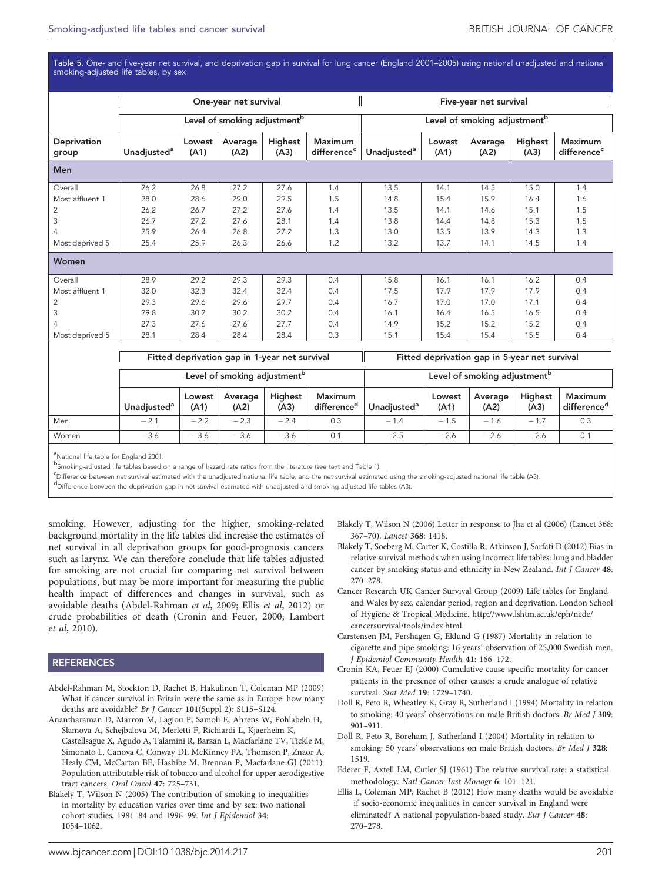<span id="page-6-0"></span>Table 5. One- and five-year net survival, and deprivation gap in survival for lung cancer (England 2001–2005) using national unadjusted and national smoking-adjusted life tables, by sex

|                      |                                                                                      |                | One-year net survival |                 |                                           |                         |                | Five-year net survival |                 |                                           |
|----------------------|--------------------------------------------------------------------------------------|----------------|-----------------------|-----------------|-------------------------------------------|-------------------------|----------------|------------------------|-----------------|-------------------------------------------|
|                      | Level of smoking adjustment <sup>b</sup><br>Level of smoking adjustment <sup>b</sup> |                |                       |                 |                                           |                         |                |                        |                 |                                           |
| Deprivation<br>group | Unadjusted <sup>a</sup>                                                              | Lowest<br>(A1) | Average<br>(A2)       | Highest<br>(A3) | <b>Maximum</b><br>difference <sup>c</sup> | Unadjusted <sup>a</sup> | Lowest<br>(A1) | Average<br>(A2)        | Highest<br>(A3) | <b>Maximum</b><br>difference <sup>c</sup> |
| Men                  |                                                                                      |                |                       |                 |                                           |                         |                |                        |                 |                                           |
| Overall              | 26.2                                                                                 | 26.8           | 27.2                  | 27.6            | 1.4                                       | 13.5                    | 14.1           | 14.5                   | 15.0            | 1.4                                       |
| Most affluent 1      | 28.0                                                                                 | 28.6           | 29.0                  | 29.5            | 1.5                                       | 14.8                    | 15.4           | 15.9                   | 16.4            | 1.6                                       |
| 2                    | 26.2                                                                                 | 26.7           | 27.2                  | 27.6            | 1.4                                       | 13.5                    | 14.1           | 14.6                   | 15.1            | 1.5                                       |
| 3                    | 26.7                                                                                 | 27.2           | 27.6                  | 28.1            | 1.4                                       | 13.8                    | 14.4           | 14.8                   | 15.3            | 1.5                                       |
| 4                    | 25.9                                                                                 | 26.4           | 26.8                  | 27.2            | 1.3                                       | 13.0                    | 13.5           | 13.9                   | 14.3            | 1.3                                       |
| Most deprived 5      | 25.4                                                                                 | 25.9           | 26.3                  | 26.6            | 1.2                                       | 13.2                    | 13.7           | 14.1                   | 14.5            | 1.4                                       |
| Women                |                                                                                      |                |                       |                 |                                           |                         |                |                        |                 |                                           |
| Overall              | 28.9                                                                                 | 29.2           | 29.3                  | 29.3            | 0.4                                       | 15.8                    | 16.1           | 16.1                   | 16.2            | 0.4                                       |
| Most affluent 1      | 32.0                                                                                 | 32.3           | 32.4                  | 32.4            | 0.4                                       | 17.5                    | 17.9           | 17.9                   | 17.9            | 0.4                                       |
| 2                    | 29.3                                                                                 | 29.6           | 29.6                  | 29.7            | 0.4                                       | 16.7                    | 17.0           | 17.0                   | 17.1            | 0.4                                       |
| 3                    | 29.8                                                                                 | 30.2           | 30.2                  | 30.2            | 0.4                                       | 16.1                    | 16.4           | 16.5                   | 16.5            | 0.4                                       |
| 4                    | 27.3                                                                                 | 27.6           | 27.6                  | 27.7            | 0.4                                       | 14.9                    | 15.2           | 15.2                   | 15.2            | 0.4                                       |
| Most deprived 5      | 28.1                                                                                 | 28.4           | 28.4                  | 28.4            | 0.3                                       | 15.1                    | 15.4           | 15.4                   | 15.5            | 0.4                                       |
|                      |                                                                                      |                |                       |                 |                                           |                         |                |                        |                 |                                           |

Fitted deprivation gap in 1-year net survival Fitted deprivation gap in 5-year net survival

|       |                         |                | Level of smoking adjustment <sup>b</sup> |                 |                                    | Level of smoking adjustment <sup>b</sup> |                |                 |                 |                                    |  |
|-------|-------------------------|----------------|------------------------------------------|-----------------|------------------------------------|------------------------------------------|----------------|-----------------|-----------------|------------------------------------|--|
|       | Unadiusted <sup>a</sup> | Lowest<br>(A1) | Average<br>(A2)                          | Highest<br>(A3) | Maximum<br>difference <sup>d</sup> | Unadiusted <sup>a</sup>                  | Lowest<br>(A1) | Average<br>(A2) | Highest<br>(A3) | Maximum<br>difference <sup>d</sup> |  |
| Men   | $-2.1$                  | $-2.2$         | $-2.3$                                   | $-2.4$          | 0.3                                | $-1.4$                                   | $-1.5$         | $-1.6$          | $-1.7$          | 0.3                                |  |
| Women | $-3.6$                  | $-3.6$         | $-3.6$                                   | $-3.6$          | 0.1                                | $-2.5$                                   | $-2.6$         | $-2.6$          | $-2.6$          | 0.1                                |  |

a<br>National life table for England 2001.

b Smoking-adjusted life tables based on a range of hazard rate ratios from the literature (see text and [Table 1\)](#page-2-0).

CDifference between net survival estimated with the unadjusted national life table, and the net survival estimated using the smoking-adjusted national life table (A3).<br>Inifference between the deprivation and in pot surviva

Difference between the deprivation gap in net survival estimated with unadjusted and smoking-adjusted life tables (A3).

smoking. However, adjusting for the higher, smoking-related background mortality in the life tables did increase the estimates of net survival in all deprivation groups for good-prognosis cancers such as larynx. We can therefore conclude that life tables adjusted for smoking are not crucial for comparing net survival between populations, but may be more important for measuring the public health impact of differences and changes in survival, such as avoidable deaths (Abdel-Rahman et al, 2009; Ellis et al, 2012) or crude probabilities of death (Cronin and Feuer, 2000; [Lambert](#page-7-0) et al[, 2010\)](#page-7-0).

#### **REFERENCES**

- Abdel-Rahman M, Stockton D, Rachet B, Hakulinen T, Coleman MP (2009) What if cancer survival in Britain were the same as in Europe: how many deaths are avoidable? Br J Cancer 101(Suppl 2): S115–S124.
- Anantharaman D, Marron M, Lagiou P, Samoli E, Ahrens W, Pohlabeln H, Slamova A, Schejbalova M, Merletti F, Richiardi L, Kjaerheim K, Castellsague X, Agudo A, Talamini R, Barzan L, Macfarlane TV, Tickle M, Simonato L, Canova C, Conway DI, McKinney PA, Thomson P, Znaor A, Healy CM, McCartan BE, Hashibe M, Brennan P, Macfarlane GJ (2011) Population attributable risk of tobacco and alcohol for upper aerodigestive tract cancers. Oral Oncol 47: 725–731.
- Blakely T, Wilson N (2005) The contribution of smoking to inequalities in mortality by education varies over time and by sex: two national cohort studies, 1981–84 and 1996–99. Int J Epidemiol 34: 1054–1062.
- Blakely T, Wilson N (2006) Letter in response to Jha et al (2006) (Lancet 368: 367–70). Lancet 368: 1418.
- Blakely T, Soeberg M, Carter K, Costilla R, Atkinson J, Sarfati D (2012) Bias in relative survival methods when using incorrect life tables: lung and bladder cancer by smoking status and ethnicity in New Zealand. Int J Cancer 48: 270–278.
- Cancer Research UK Cancer Survival Group (2009) Life tables for England and Wales by sex, calendar period, region and deprivation. London School of Hygiene & Tropical Medicine. [http://www.lshtm.ac.uk/eph/ncde/](http://www.lshtm.ac.uk/eph/ncde/cancersurvival/tools/index.html) [cancersurvival/tools/index.html.](http://www.lshtm.ac.uk/eph/ncde/cancersurvival/tools/index.html)
- Carstensen JM, Pershagen G, Eklund G (1987) Mortality in relation to cigarette and pipe smoking: 16 years' observation of 25,000 Swedish men. J Epidemiol Community Health 41: 166–172.
- Cronin KA, Feuer EJ (2000) Cumulative cause-specific mortality for cancer patients in the presence of other causes: a crude analogue of relative survival. Stat Med 19: 1729–1740.
- Doll R, Peto R, Wheatley K, Gray R, Sutherland I (1994) Mortality in relation to smoking: 40 years' observations on male British doctors. Br Med J 309: 901–911.
- Doll R, Peto R, Boreham J, Sutherland I (2004) Mortality in relation to smoking: 50 years' observations on male British doctors. Br Med J 328: 1519.
- Ederer F, Axtell LM, Cutler SJ (1961) The relative survival rate: a statistical methodology. Natl Cancer Inst Monogr 6: 101–121.
- Ellis L, Coleman MP, Rachet B (2012) How many deaths would be avoidable if socio-economic inequalities in cancer survival in England were eliminated? A national popyulation-based study. Eur J Cancer 48: 270–278.